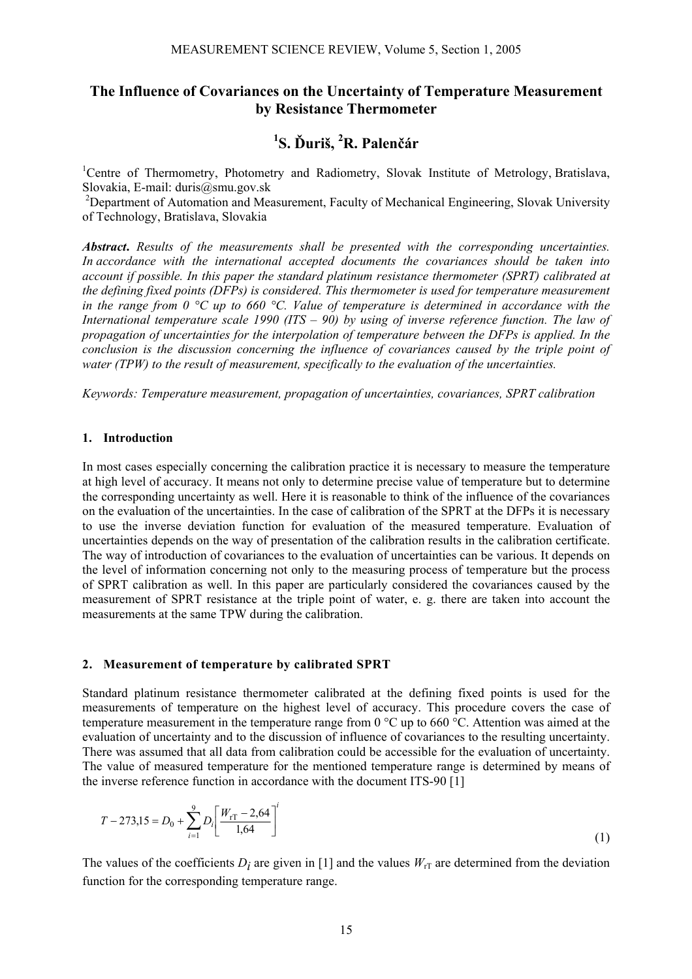## **The Influence of Covariances on the Uncertainty of Temperature Measurement by Resistance Thermometer**

# **1 S. Ďuriš, 2 R. Palenčár**

<sup>1</sup>Centre of Thermometry, Photometry and Radiometry, Slovak Institute of Metrology, Bratislava, Slovakia, E-mail: duris@smu.gov.sk

<sup>2</sup>Department of Automation and Measurement, Faculty of Mechanical Engineering, Slovak University of Technology, Bratislava, Slovakia

*Abstract***.** *Results of the measurements shall be presented with the corresponding uncertainties. In accordance with the international accepted documents the covariances should be taken into account if possible. In this paper the standard platinum resistance thermometer (SPRT) calibrated at the defining fixed points (DFPs) is considered. This thermometer is used for temperature measurement in the range from 0 °C up to 660 °C. Value of temperature is determined in accordance with the International temperature scale 1990 (ITS – 90) by using of inverse reference function. The law of propagation of uncertainties for the interpolation of temperature between the DFPs is applied. In the conclusion is the discussion concerning the influence of covariances caused by the triple point of water (TPW) to the result of measurement, specifically to the evaluation of the uncertainties.* 

*Keywords: Temperature measurement, propagation of uncertainties, covariances, SPRT calibration* 

#### **1. Introduction**

In most cases especially concerning the calibration practice it is necessary to measure the temperature at high level of accuracy. It means not only to determine precise value of temperature but to determine the corresponding uncertainty as well. Here it is reasonable to think of the influence of the covariances on the evaluation of the uncertainties. In the case of calibration of the SPRT at the DFPs it is necessary to use the inverse deviation function for evaluation of the measured temperature. Evaluation of uncertainties depends on the way of presentation of the calibration results in the calibration certificate. The way of introduction of covariances to the evaluation of uncertainties can be various. It depends on the level of information concerning not only to the measuring process of temperature but the process of SPRT calibration as well. In this paper are particularly considered the covariances caused by the measurement of SPRT resistance at the triple point of water, e. g. there are taken into account the measurements at the same TPW during the calibration.

#### **2. Measurement of temperature by calibrated SPRT**

Standard platinum resistance thermometer calibrated at the defining fixed points is used for the measurements of temperature on the highest level of accuracy. This procedure covers the case of temperature measurement in the temperature range from 0 °C up to 660 °C. Attention was aimed at the evaluation of uncertainty and to the discussion of influence of covariances to the resulting uncertainty. There was assumed that all data from calibration could be accessible for the evaluation of uncertainty. The value of measured temperature for the mentioned temperature range is determined by means of the inverse reference function in accordance with the document ITS-90 [1]

$$
T - 273,15 = D_0 + \sum_{i=1}^{9} D_i \left[ \frac{W_{\text{rT}} - 2.64}{1.64} \right]^i \tag{1}
$$

The values of the coefficients  $D_i$  are given in [1] and the values  $W_{rT}$  are determined from the deviation function for the corresponding temperature range.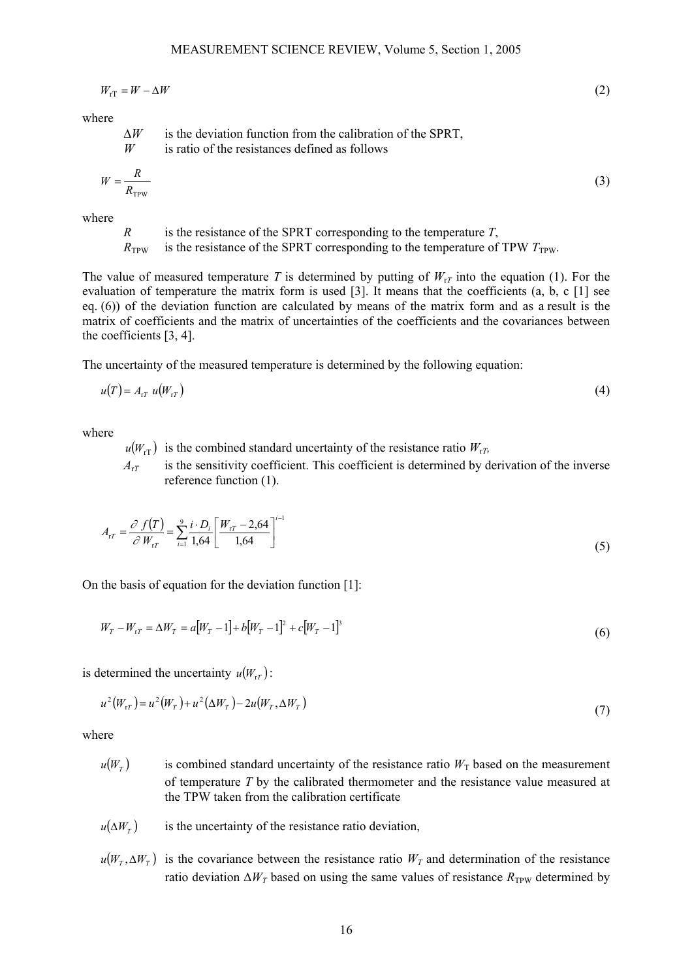$$
W_{\rm rT} = W - \Delta W \tag{2}
$$

where

∆*W* is the deviation function from the calibration of the SPRT, *W* is ratio of the resistances defined as follows

$$
W = \frac{R}{R_{\text{TPW}}} \tag{3}
$$

where

*R* is the resistance of the SPRT corresponding to the temperature *T*,  $R_{TPW}$  is the resistance of the SPRT corresponding to the temperature of TPW  $T_{TPW}$ .

The value of measured temperature *T* is determined by putting of  $W_{T}$  into the equation (1). For the evaluation of temperature the matrix form is used [3]. It means that the coefficients (a, b, c [1] see eq. (6)) of the deviation function are calculated by means of the matrix form and as a result is the matrix of coefficients and the matrix of uncertainties of the coefficients and the covariances between the coefficients [3, 4].

The uncertainty of the measured temperature is determined by the following equation:

$$
u(T) = A_{rT} u(W_{rT})
$$
\n<sup>(4)</sup>

where

- $u(W_{\text{rT}})$  is the combined standard uncertainty of the resistance ratio  $W_{\text{rT}}$ ,
- $A_{\tau T}$  is the sensitivity coefficient. This coefficient is determined by derivation of the inverse reference function (1).

$$
A_{rT} = \frac{\partial f(T)}{\partial W_{rT}} = \sum_{i=1}^{9} \frac{i \cdot D_i}{1,64} \left[ \frac{W_{rT} - 2,64}{1,64} \right]^{i-1}
$$
(5)

On the basis of equation for the deviation function [1]:

$$
W_T - W_{tT} = \Delta W_T = a[W_T - 1] + b[W_T - 1]^2 + c[W_T - 1]^3
$$
\n(6)

is determined the uncertainty  $u(W_{1})$ :

$$
u^{2}(W_{rT}) = u^{2}(W_{T}) + u^{2}(\Delta W_{T}) - 2u(W_{T}, \Delta W_{T})
$$
\n(7)

where

- $u(W_T)$  is combined standard uncertainty of the resistance ratio  $W_T$  based on the measurement of temperature *T* by the calibrated thermometer and the resistance value measured at the TPW taken from the calibration certificate
- $u(\Delta W_T)$  is the uncertainty of the resistance ratio deviation,
- $u(W_T, \Delta W_T)$  is the covariance between the resistance ratio  $W_T$  and determination of the resistance ratio deviation  $\Delta W_T$  based on using the same values of resistance  $R_{TPW}$  determined by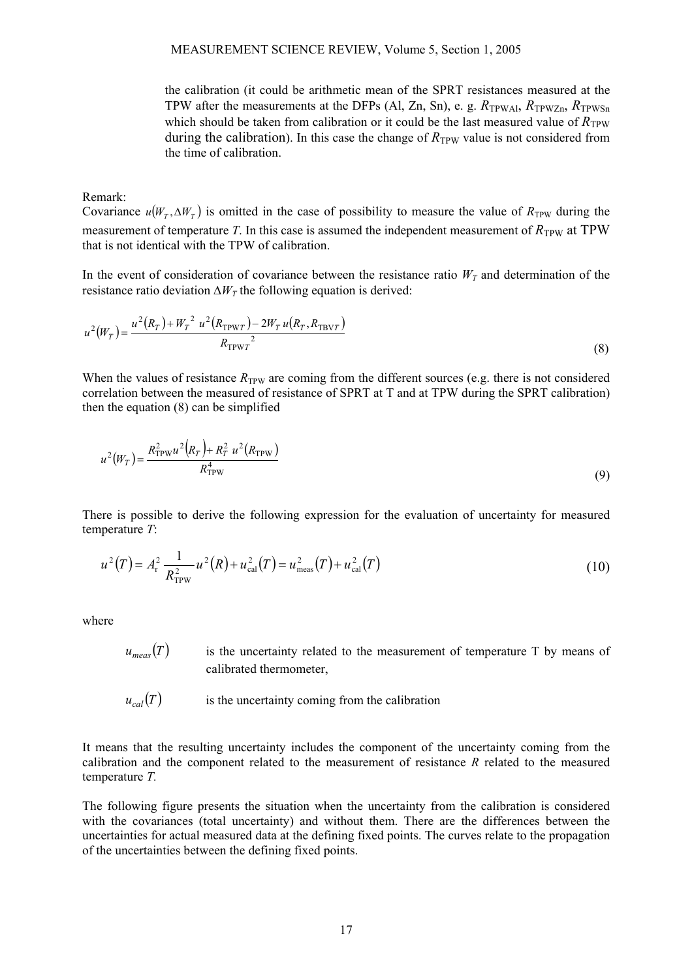the calibration (it could be arithmetic mean of the SPRT resistances measured at the TPW after the measurements at the DFPs (Al, Zn, Sn), e. g.  $R_{TPWA1}$ ,  $R_{TPWZn}$ ,  $R_{TPWSn}$ which should be taken from calibration or it could be the last measured value of  $R_{TPW}$ during the calibration). In this case the change of  $R_{\text{TPW}}$  value is not considered from the time of calibration.

#### Remark:

Covariance  $u(W_T, \Delta W_T)$  is omitted in the case of possibility to measure the value of  $R_{TPW}$  during the measurement of temperature *T*. In this case is assumed the independent measurement of  $R_{TPW}$  at  $TPW$ that is not identical with the TPW of calibration.

In the event of consideration of covariance between the resistance ratio  $W_T$  and determination of the resistance ratio deviation  $\Delta W_T$  the following equation is derived:

$$
u^{2}(W_{T}) = \frac{u^{2}(R_{T}) + W_{T}^{2} u^{2}(R_{\text{TPWT}}) - 2W_{T} u(R_{T}, R_{\text{TBVT}})}{R_{\text{TPWT}}^{2}}
$$
(8)

When the values of resistance  $R_{TPW}$  are coming from the different sources (e.g. there is not considered correlation between the measured of resistance of SPRT at T and at TPW during the SPRT calibration) then the equation (8) can be simplified

$$
u^{2}(W_{T}) = \frac{R_{\text{TPW}}^{2}u^{2}(R_{T}) + R_{T}^{2}u^{2}(R_{\text{TPW}})}{R_{\text{TPW}}^{4}}
$$
(9)

There is possible to derive the following expression for the evaluation of uncertainty for measured temperature *T*:

$$
u^{2}(T) = A_{r}^{2} \frac{1}{R_{\text{TPW}}^{2}} u^{2}(R) + u_{\text{cal}}^{2}(T) = u_{\text{meas}}^{2}(T) + u_{\text{cal}}^{2}(T)
$$
\n(10)

where

- $u_{meas}(T)$  is the uncertainty related to the measurement of temperature T by means of calibrated thermometer,
- $u_{col}(T)$  is the uncertainty coming from the calibration

It means that the resulting uncertainty includes the component of the uncertainty coming from the calibration and the component related to the measurement of resistance *R* related to the measured temperature *T.*

The following figure presents the situation when the uncertainty from the calibration is considered with the covariances (total uncertainty) and without them. There are the differences between the uncertainties for actual measured data at the defining fixed points. The curves relate to the propagation of the uncertainties between the defining fixed points.